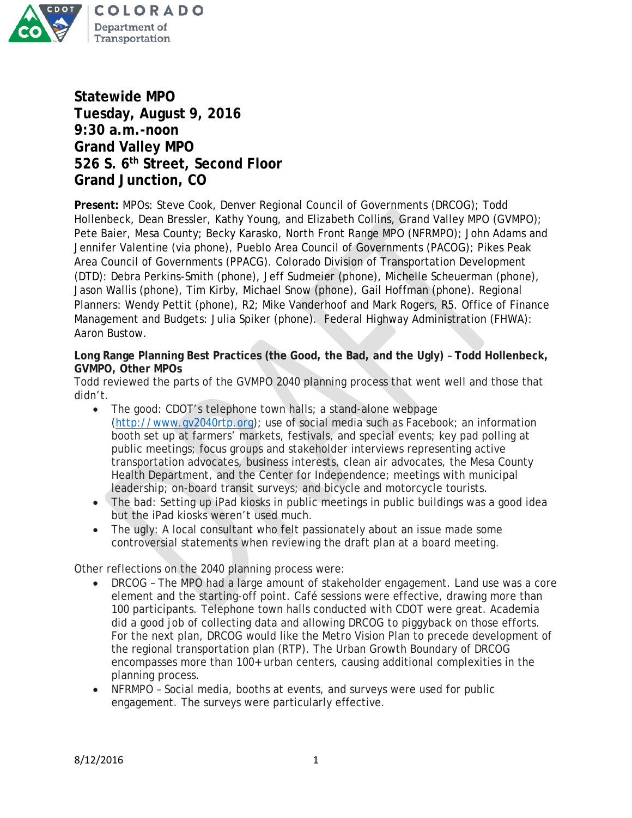

**Statewide MPO Tuesday, August 9, 2016 9:30 a.m.-noon Grand Valley MPO 526 S. 6th Street, Second Floor Grand Junction, CO**

**Present:** MPOs: Steve Cook, Denver Regional Council of Governments (DRCOG); Todd Hollenbeck, Dean Bressler, Kathy Young, and Elizabeth Collins, Grand Valley MPO (GVMPO); Pete Baier, Mesa County; Becky Karasko, North Front Range MPO (NFRMPO); John Adams and Jennifer Valentine (via phone), Pueblo Area Council of Governments (PACOG); Pikes Peak Area Council of Governments (PPACG). Colorado Division of Transportation Development (DTD): Debra Perkins-Smith (phone), Jeff Sudmeier (phone), Michelle Scheuerman (phone), Jason Wallis (phone), Tim Kirby, Michael Snow (phone), Gail Hoffman (phone). Regional Planners: Wendy Pettit (phone), R2; Mike Vanderhoof and Mark Rogers, R5. Office of Finance Management and Budgets: Julia Spiker (phone). Federal Highway Administration (FHWA): Aaron Bustow.

**Long Range Planning Best Practices (the Good, the Bad, and the Ugly)** – **Todd Hollenbeck, GVMPO, Other MPOs**

Todd reviewed the parts of the GVMPO 2040 planning process that went well and those that didn't.

- The good: CDOT's telephone town halls; a stand-alone webpage [\(http://www.gv2040rtp.org\)](http://www.gv2040rtp.org/); use of social media such as Facebook; an information booth set up at farmers' markets, festivals, and special events; key pad polling at public meetings; focus groups and stakeholder interviews representing active transportation advocates, business interests, clean air advocates, the Mesa County Health Department, and the Center for Independence; meetings with municipal leadership; on-board transit surveys; and bicycle and motorcycle tourists.
- The bad: Setting up iPad kiosks in public meetings in public buildings was a good idea but the iPad kiosks weren't used much.
- The ugly: A local consultant who felt passionately about an issue made some controversial statements when reviewing the draft plan at a board meeting.

Other reflections on the 2040 planning process were:

- DRCOG The MPO had a large amount of stakeholder engagement. Land use was a core element and the starting-off point. Café sessions were effective, drawing more than 100 participants. Telephone town halls conducted with CDOT were great. Academia did a good job of collecting data and allowing DRCOG to piggyback on those efforts. For the next plan, DRCOG would like the Metro Vision Plan to precede development of the regional transportation plan (RTP). The Urban Growth Boundary of DRCOG encompasses more than 100+ urban centers, causing additional complexities in the planning process.
- NFRMPO Social media, booths at events, and surveys were used for public engagement. The surveys were particularly effective.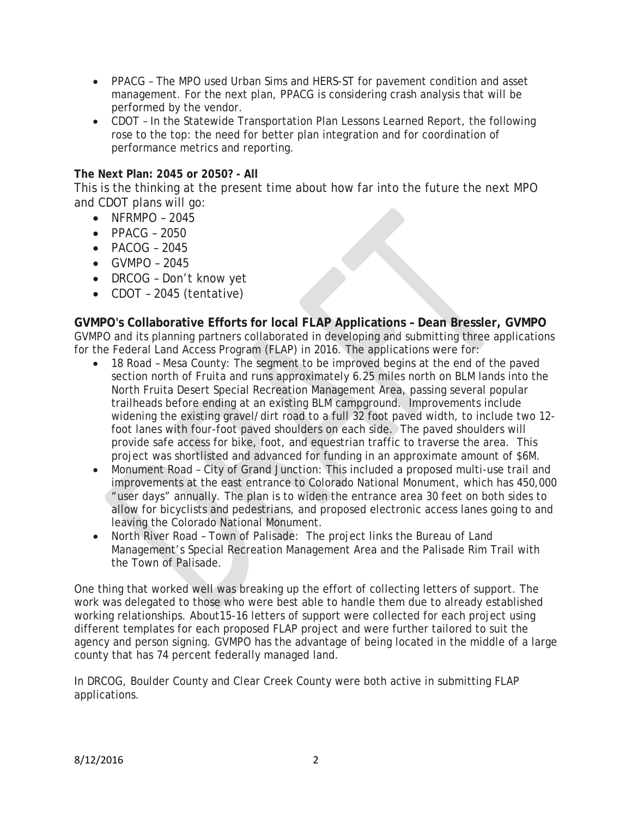- PPACG The MPO used Urban Sims and HERS-ST for pavement condition and asset management. For the next plan, PPACG is considering crash analysis that will be performed by the vendor.
- CDOT In the Statewide Transportation Plan Lessons Learned Report, the following rose to the top: the need for better plan integration and for coordination of performance metrics and reporting.

# **The Next Plan: 2045 or 2050? - All**

This is the thinking at the present time about how far into the future the next MPO and CDOT plans will go:

- NFRMPO 2045
- PPACG 2050
- $\bullet$  PACOG 2045
- GVMPO 2045
- DRCOG Don't know yet
- CDOT 2045 (tentative)

### **GVMPO's Collaborative Efforts for local FLAP Applications – Dean Bressler, GVMPO** GVMPO and its planning partners collaborated in developing and submitting three applications for the Federal Land Access Program (FLAP) in 2016. The applications were for:

- 18 Road Mesa County: The segment to be improved begins at the end of the paved section north of Fruita and runs approximately 6.25 miles north on BLM lands into the North Fruita Desert Special Recreation Management Area, passing several popular trailheads before ending at an existing BLM campground. Improvements include widening the existing gravel/dirt road to a full 32 foot paved width, to include two 12 foot lanes with four-foot paved shoulders on each side. The paved shoulders will provide safe access for bike, foot, and equestrian traffic to traverse the area. This project was shortlisted and advanced for funding in an approximate amount of \$6M.
- Monument Road City of Grand Junction: This included a proposed multi-use trail and improvements at the east entrance to Colorado National Monument, which has 450,000 "user days" annually. The plan is to widen the entrance area 30 feet on both sides to allow for bicyclists and pedestrians, and proposed electronic access lanes going to and leaving the Colorado National Monument.
- North River Road Town of Palisade: The project links the Bureau of Land Management's Special Recreation Management Area and the Palisade Rim Trail with the Town of Palisade.

One thing that worked well was breaking up the effort of collecting letters of support. The work was delegated to those who were best able to handle them due to already established working relationships. About15-16 letters of support were collected for each project using different templates for each proposed FLAP project and were further tailored to suit the agency and person signing. GVMPO has the advantage of being located in the middle of a large county that has 74 percent federally managed land.

In DRCOG, Boulder County and Clear Creek County were both active in submitting FLAP applications.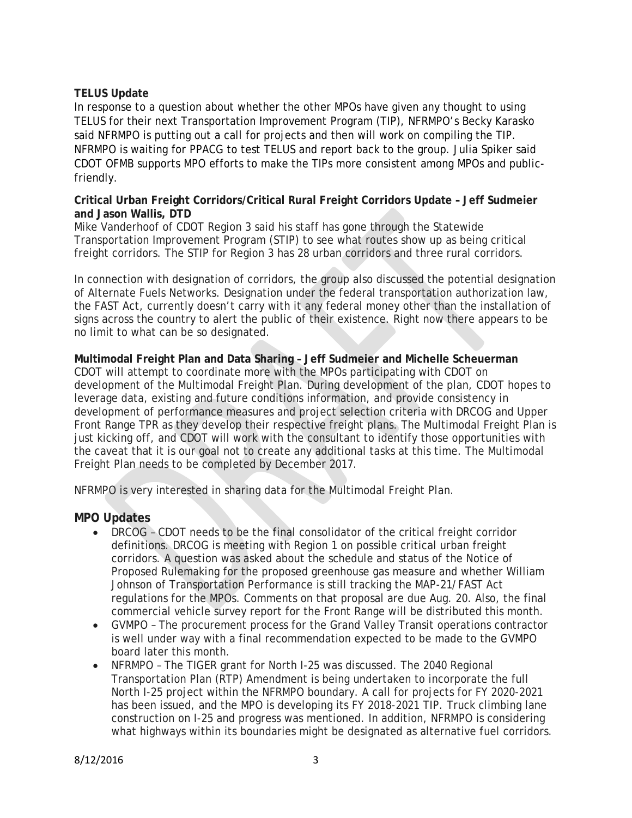## **TELUS Update**

In response to a question about whether the other MPOs have given any thought to using TELUS for their next Transportation Improvement Program (TIP), NFRMPO's Becky Karasko said NFRMPO is putting out a call for projects and then will work on compiling the TIP. NFRMPO is waiting for PPACG to test TELUS and report back to the group. Julia Spiker said CDOT OFMB supports MPO efforts to make the TIPs more consistent among MPOs and publicfriendly.

## **Critical Urban Freight Corridors/Critical Rural Freight Corridors Update – Jeff Sudmeier and Jason Wallis, DTD**

Mike Vanderhoof of CDOT Region 3 said his staff has gone through the Statewide Transportation Improvement Program (STIP) to see what routes show up as being critical freight corridors. The STIP for Region 3 has 28 urban corridors and three rural corridors.

In connection with designation of corridors, the group also discussed the potential designation of Alternate Fuels Networks. Designation under the federal transportation authorization law, the FAST Act, currently doesn't carry with it any federal money other than the installation of signs across the country to alert the public of their existence. Right now there appears to be no limit to what can be so designated.

**Multimodal Freight Plan and Data Sharing – Jeff Sudmeier and Michelle Scheuerman** CDOT will attempt to coordinate more with the MPOs participating with CDOT on development of the Multimodal Freight Plan. During development of the plan, CDOT hopes to leverage data, existing and future conditions information, and provide consistency in development of performance measures and project selection criteria with DRCOG and Upper Front Range TPR as they develop their respective freight plans. The Multimodal Freight Plan is just kicking off, and CDOT will work with the consultant to identify those opportunities with the caveat that it is our goal not to create any additional tasks at this time. The Multimodal Freight Plan needs to be completed by December 2017.

NFRMPO is very interested in sharing data for the Multimodal Freight Plan.

# **MPO Updates**

- DRCOG CDOT needs to be the final consolidator of the critical freight corridor definitions. DRCOG is meeting with Region 1 on possible critical urban freight corridors. A question was asked about the schedule and status of the Notice of Proposed Rulemaking for the proposed greenhouse gas measure and whether William Johnson of Transportation Performance is still tracking the MAP-21/FAST Act regulations for the MPOs. Comments on that proposal are due Aug. 20. Also, the final commercial vehicle survey report for the Front Range will be distributed this month.
- GVMPO The procurement process for the Grand Valley Transit operations contractor is well under way with a final recommendation expected to be made to the GVMPO board later this month.
- NFRMPO The TIGER grant for North I-25 was discussed. The 2040 Regional Transportation Plan (RTP) Amendment is being undertaken to incorporate the full North I-25 project within the NFRMPO boundary. A call for projects for FY 2020-2021 has been issued, and the MPO is developing its FY 2018-2021 TIP. Truck climbing lane construction on I-25 and progress was mentioned. In addition, NFRMPO is considering what highways within its boundaries might be designated as alternative fuel corridors.